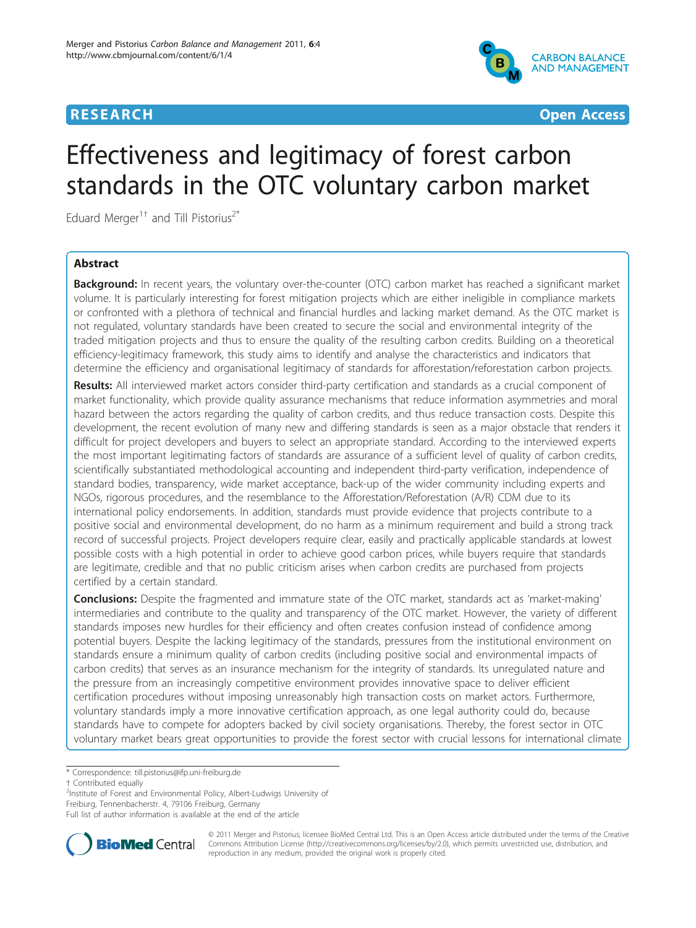# **RESEARCH CONTROL** CONTROL CONTROL CONTROL CONTROL CONTROL CONTROL CONTROL CONTROL CONTROL CONTROL CONTROL CONTROL CONTROL CONTROL CONTROL CONTROL CONTROL CONTROL CONTROL CONTROL CONTROL CONTROL CONTROL CONTROL CONTROL CON



# Effectiveness and legitimacy of forest carbon standards in the OTC voluntary carbon market

Eduard Merger<sup>1†</sup> and Till Pistorius<sup>2\*</sup>

# Abstract

**Background:** In recent years, the voluntary over-the-counter (OTC) carbon market has reached a significant market volume. It is particularly interesting for forest mitigation projects which are either ineligible in compliance markets or confronted with a plethora of technical and financial hurdles and lacking market demand. As the OTC market is not regulated, voluntary standards have been created to secure the social and environmental integrity of the traded mitigation projects and thus to ensure the quality of the resulting carbon credits. Building on a theoretical efficiency-legitimacy framework, this study aims to identify and analyse the characteristics and indicators that determine the efficiency and organisational legitimacy of standards for afforestation/reforestation carbon projects.

Results: All interviewed market actors consider third-party certification and standards as a crucial component of market functionality, which provide quality assurance mechanisms that reduce information asymmetries and moral hazard between the actors regarding the quality of carbon credits, and thus reduce transaction costs. Despite this development, the recent evolution of many new and differing standards is seen as a major obstacle that renders it difficult for project developers and buyers to select an appropriate standard. According to the interviewed experts the most important legitimating factors of standards are assurance of a sufficient level of quality of carbon credits, scientifically substantiated methodological accounting and independent third-party verification, independence of standard bodies, transparency, wide market acceptance, back-up of the wider community including experts and NGOs, rigorous procedures, and the resemblance to the Afforestation/Reforestation (A/R) CDM due to its international policy endorsements. In addition, standards must provide evidence that projects contribute to a positive social and environmental development, do no harm as a minimum requirement and build a strong track record of successful projects. Project developers require clear, easily and practically applicable standards at lowest possible costs with a high potential in order to achieve good carbon prices, while buyers require that standards are legitimate, credible and that no public criticism arises when carbon credits are purchased from projects certified by a certain standard.

**Conclusions:** Despite the fragmented and immature state of the OTC market, standards act as 'market-making' intermediaries and contribute to the quality and transparency of the OTC market. However, the variety of different standards imposes new hurdles for their efficiency and often creates confusion instead of confidence among potential buyers. Despite the lacking legitimacy of the standards, pressures from the institutional environment on standards ensure a minimum quality of carbon credits (including positive social and environmental impacts of carbon credits) that serves as an insurance mechanism for the integrity of standards. Its unregulated nature and the pressure from an increasingly competitive environment provides innovative space to deliver efficient certification procedures without imposing unreasonably high transaction costs on market actors. Furthermore, voluntary standards imply a more innovative certification approach, as one legal authority could do, because standards have to compete for adopters backed by civil society organisations. Thereby, the forest sector in OTC voluntary market bears great opportunities to provide the forest sector with crucial lessons for international climate

\* Correspondence: [till.pistorius@ifp.uni-freiburg.de](mailto:till.pistorius@ifp.uni-freiburg.de)

† Contributed equally <sup>2</sup>

<sup>2</sup>Institute of Forest and Environmental Policy, Albert-Ludwigs University of

Freiburg, Tennenbacherstr. 4, 79106 Freiburg, Germany

Full list of author information is available at the end of the article



© 2011 Merger and Pistorius; licensee BioMed Central Ltd. This is an Open Access article distributed under the terms of the Creative Commons Attribution License [\(http://creativecommons.org/licenses/by/2.0](http://creativecommons.org/licenses/by/2.0)), which permits unrestricted use, distribution, and reproduction in any medium, provided the original work is properly cited.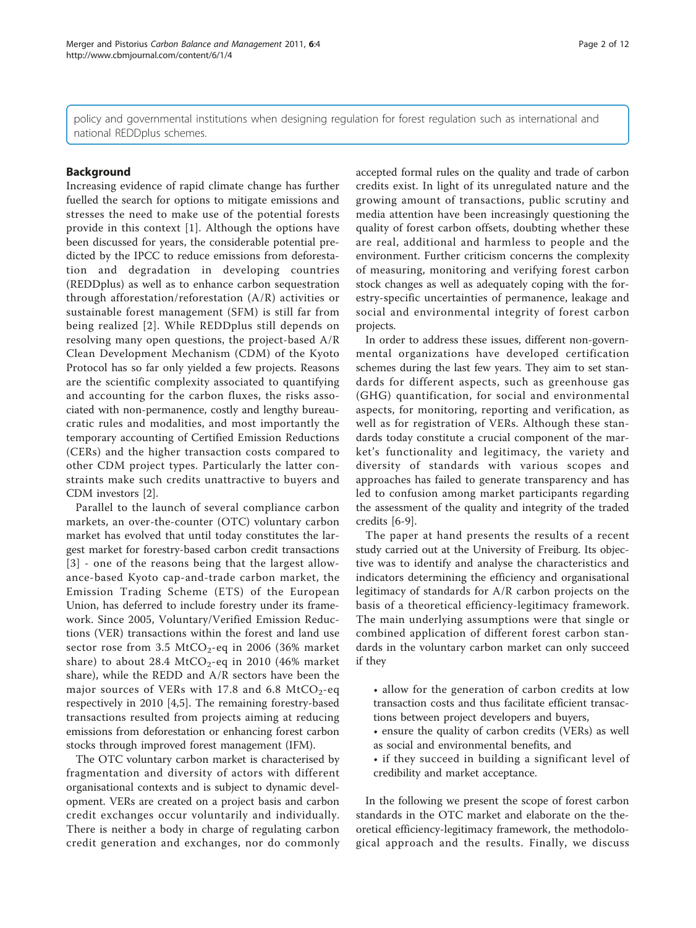policy and governmental institutions when designing regulation for forest regulation such as international and national REDDplus schemes.

#### Background

Increasing evidence of rapid climate change has further fuelled the search for options to mitigate emissions and stresses the need to make use of the potential forests provide in this context [[1\]](#page-10-0). Although the options have been discussed for years, the considerable potential predicted by the IPCC to reduce emissions from deforestation and degradation in developing countries (REDDplus) as well as to enhance carbon sequestration through afforestation/reforestation (A/R) activities or sustainable forest management (SFM) is still far from being realized [[2\]](#page-10-0). While REDDplus still depends on resolving many open questions, the project-based A/R Clean Development Mechanism (CDM) of the Kyoto Protocol has so far only yielded a few projects. Reasons are the scientific complexity associated to quantifying and accounting for the carbon fluxes, the risks associated with non-permanence, costly and lengthy bureaucratic rules and modalities, and most importantly the temporary accounting of Certified Emission Reductions (CERs) and the higher transaction costs compared to other CDM project types. Particularly the latter constraints make such credits unattractive to buyers and CDM investors [\[2](#page-10-0)].

Parallel to the launch of several compliance carbon markets, an over-the-counter (OTC) voluntary carbon market has evolved that until today constitutes the largest market for forestry-based carbon credit transactions [[3](#page-10-0)] - one of the reasons being that the largest allowance-based Kyoto cap-and-trade carbon market, the Emission Trading Scheme (ETS) of the European Union, has deferred to include forestry under its framework. Since 2005, Voluntary/Verified Emission Reductions (VER) transactions within the forest and land use sector rose from 3.5 MtCO<sub>2</sub>-eq in 2006 (36% market share) to about 28.4 MtCO<sub>2</sub>-eq in 2010 (46% market share), while the REDD and A/R sectors have been the major sources of VERs with 17.8 and 6.8 MtCO<sub>2</sub>-eq respectively in 2010 [\[4,5](#page-10-0)]. The remaining forestry-based transactions resulted from projects aiming at reducing emissions from deforestation or enhancing forest carbon stocks through improved forest management (IFM).

The OTC voluntary carbon market is characterised by fragmentation and diversity of actors with different organisational contexts and is subject to dynamic development. VERs are created on a project basis and carbon credit exchanges occur voluntarily and individually. There is neither a body in charge of regulating carbon credit generation and exchanges, nor do commonly accepted formal rules on the quality and trade of carbon credits exist. In light of its unregulated nature and the growing amount of transactions, public scrutiny and media attention have been increasingly questioning the quality of forest carbon offsets, doubting whether these are real, additional and harmless to people and the environment. Further criticism concerns the complexity of measuring, monitoring and verifying forest carbon stock changes as well as adequately coping with the forestry-specific uncertainties of permanence, leakage and social and environmental integrity of forest carbon projects.

In order to address these issues, different non-governmental organizations have developed certification schemes during the last few years. They aim to set standards for different aspects, such as greenhouse gas (GHG) quantification, for social and environmental aspects, for monitoring, reporting and verification, as well as for registration of VERs. Although these standards today constitute a crucial component of the market's functionality and legitimacy, the variety and diversity of standards with various scopes and approaches has failed to generate transparency and has led to confusion among market participants regarding the assessment of the quality and integrity of the traded credits [\[6](#page-10-0)-[9](#page-10-0)].

The paper at hand presents the results of a recent study carried out at the University of Freiburg. Its objective was to identify and analyse the characteristics and indicators determining the efficiency and organisational legitimacy of standards for A/R carbon projects on the basis of a theoretical efficiency-legitimacy framework. The main underlying assumptions were that single or combined application of different forest carbon standards in the voluntary carbon market can only succeed if they

• allow for the generation of carbon credits at low transaction costs and thus facilitate efficient transactions between project developers and buyers,

- ensure the quality of carbon credits (VERs) as well as social and environmental benefits, and
- if they succeed in building a significant level of credibility and market acceptance.

In the following we present the scope of forest carbon standards in the OTC market and elaborate on the theoretical efficiency-legitimacy framework, the methodological approach and the results. Finally, we discuss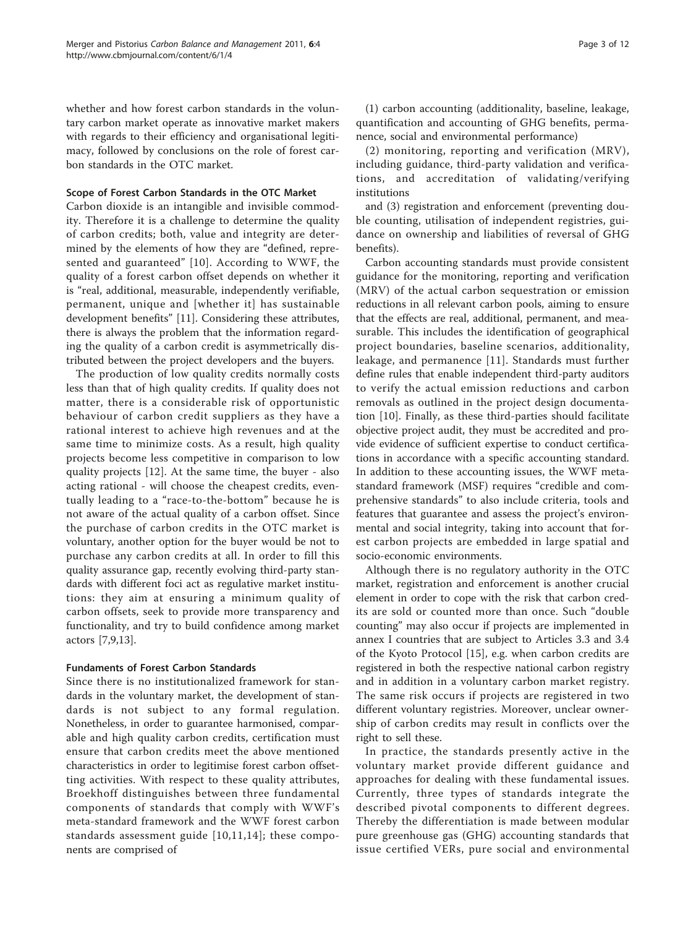whether and how forest carbon standards in the voluntary carbon market operate as innovative market makers with regards to their efficiency and organisational legitimacy, followed by conclusions on the role of forest carbon standards in the OTC market.

#### Scope of Forest Carbon Standards in the OTC Market

Carbon dioxide is an intangible and invisible commodity. Therefore it is a challenge to determine the quality of carbon credits; both, value and integrity are determined by the elements of how they are "defined, represented and guaranteed" [[10\]](#page-10-0). According to WWF, the quality of a forest carbon offset depends on whether it is "real, additional, measurable, independently verifiable, permanent, unique and [whether it] has sustainable development benefits" [\[11\]](#page-11-0). Considering these attributes, there is always the problem that the information regarding the quality of a carbon credit is asymmetrically distributed between the project developers and the buyers.

The production of low quality credits normally costs less than that of high quality credits. If quality does not matter, there is a considerable risk of opportunistic behaviour of carbon credit suppliers as they have a rational interest to achieve high revenues and at the same time to minimize costs. As a result, high quality projects become less competitive in comparison to low quality projects [\[12](#page-11-0)]. At the same time, the buyer - also acting rational - will choose the cheapest credits, eventually leading to a "race-to-the-bottom" because he is not aware of the actual quality of a carbon offset. Since the purchase of carbon credits in the OTC market is voluntary, another option for the buyer would be not to purchase any carbon credits at all. In order to fill this quality assurance gap, recently evolving third-party standards with different foci act as regulative market institutions: they aim at ensuring a minimum quality of carbon offsets, seek to provide more transparency and functionality, and try to build confidence among market actors [\[7](#page-10-0),[9](#page-10-0),[13](#page-11-0)].

#### Fundaments of Forest Carbon Standards

Since there is no institutionalized framework for standards in the voluntary market, the development of standards is not subject to any formal regulation. Nonetheless, in order to guarantee harmonised, comparable and high quality carbon credits, certification must ensure that carbon credits meet the above mentioned characteristics in order to legitimise forest carbon offsetting activities. With respect to these quality attributes, Broekhoff distinguishes between three fundamental components of standards that comply with WWF's meta-standard framework and the WWF forest carbon standards assessment guide [[10,](#page-10-0)[11,14](#page-11-0)]; these components are comprised of

(1) carbon accounting (additionality, baseline, leakage, quantification and accounting of GHG benefits, permanence, social and environmental performance)

(2) monitoring, reporting and verification (MRV), including guidance, third-party validation and verifications, and accreditation of validating/verifying institutions

and (3) registration and enforcement (preventing double counting, utilisation of independent registries, guidance on ownership and liabilities of reversal of GHG benefits).

Carbon accounting standards must provide consistent guidance for the monitoring, reporting and verification (MRV) of the actual carbon sequestration or emission reductions in all relevant carbon pools, aiming to ensure that the effects are real, additional, permanent, and measurable. This includes the identification of geographical project boundaries, baseline scenarios, additionality, leakage, and permanence [\[11\]](#page-11-0). Standards must further define rules that enable independent third-party auditors to verify the actual emission reductions and carbon removals as outlined in the project design documentation [[10\]](#page-10-0). Finally, as these third-parties should facilitate objective project audit, they must be accredited and provide evidence of sufficient expertise to conduct certifications in accordance with a specific accounting standard. In addition to these accounting issues, the WWF metastandard framework (MSF) requires "credible and comprehensive standards" to also include criteria, tools and features that guarantee and assess the project's environmental and social integrity, taking into account that forest carbon projects are embedded in large spatial and socio-economic environments.

Although there is no regulatory authority in the OTC market, registration and enforcement is another crucial element in order to cope with the risk that carbon credits are sold or counted more than once. Such "double counting" may also occur if projects are implemented in annex I countries that are subject to Articles 3.3 and 3.4 of the Kyoto Protocol [\[15\]](#page-11-0), e.g. when carbon credits are registered in both the respective national carbon registry and in addition in a voluntary carbon market registry. The same risk occurs if projects are registered in two different voluntary registries. Moreover, unclear ownership of carbon credits may result in conflicts over the right to sell these.

In practice, the standards presently active in the voluntary market provide different guidance and approaches for dealing with these fundamental issues. Currently, three types of standards integrate the described pivotal components to different degrees. Thereby the differentiation is made between modular pure greenhouse gas (GHG) accounting standards that issue certified VERs, pure social and environmental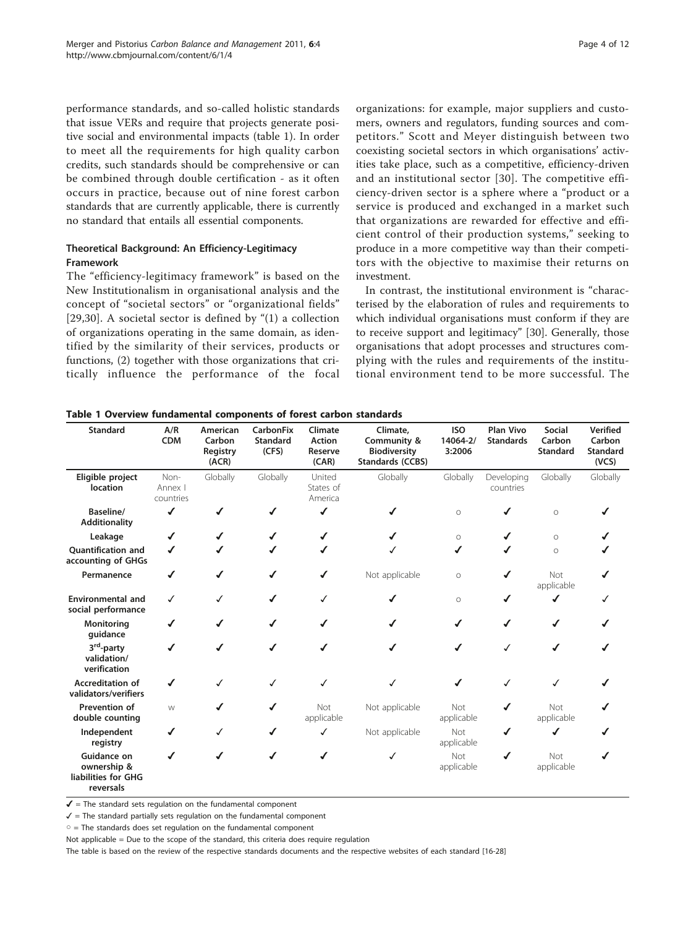<span id="page-3-0"></span>to meet all the requirements for high quality carbon credits, such standards should be comprehensive or can be combined through double certification - as it often occurs in practice, because out of nine forest carbon standards that are currently applicable, there is currently no standard that entails all essential components.

# Theoretical Background: An Efficiency-Legitimacy Framework

The "efficiency-legitimacy framework" is based on the New Institutionalism in organisational analysis and the concept of "societal sectors" or "organizational fields" [[29,30](#page-11-0)]. A societal sector is defined by "(1) a collection of organizations operating in the same domain, as identified by the similarity of their services, products or functions, (2) together with those organizations that critically influence the performance of the focal organizations: for example, major suppliers and customers, owners and regulators, funding sources and competitors." Scott and Meyer distinguish between two coexisting societal sectors in which organisations' activities take place, such as a competitive, efficiency-driven and an institutional sector [[30](#page-11-0)]. The competitive efficiency-driven sector is a sphere where a "product or a service is produced and exchanged in a market such that organizations are rewarded for effective and efficient control of their production systems," seeking to produce in a more competitive way than their competitors with the objective to maximise their returns on investment.

In contrast, the institutional environment is "characterised by the elaboration of rules and requirements to which individual organisations must conform if they are to receive support and legitimacy" [\[30](#page-11-0)]. Generally, those organisations that adopt processes and structures complying with the rules and requirements of the institutional environment tend to be more successful. The

| Standard                                                       | A/R<br><b>CDM</b>            | American<br>Carbon<br>Registry<br>(ACR) | CarbonFix<br><b>Standard</b><br>(CFS) | Climate<br>Action<br>Reserve<br>(CAR) | Climate,<br>Community &<br><b>Biodiversity</b><br>Standards (CCBS) | <b>ISO</b><br>14064-2/<br>3:2006 | Plan Vivo<br><b>Standards</b> | Social<br>Carbon<br><b>Standard</b> | Verified<br>Carbon<br><b>Standard</b><br>(VCS) |
|----------------------------------------------------------------|------------------------------|-----------------------------------------|---------------------------------------|---------------------------------------|--------------------------------------------------------------------|----------------------------------|-------------------------------|-------------------------------------|------------------------------------------------|
| Eligible project<br>location                                   | Non-<br>Annex I<br>countries | Globally                                | Globally                              | United<br>States of<br>America        | Globally                                                           | Globally                         | Developing<br>countries       | Globally                            | Globally                                       |
| Baseline/<br><b>Additionality</b>                              | ✔                            | ✔                                       | ✔                                     | $\checkmark$                          | ℐ                                                                  | $\circ$                          |                               | $\circ$                             |                                                |
| Leakage                                                        | $\checkmark$                 | ✔                                       | $\checkmark$                          | ✔                                     | ✔                                                                  | $\circ$                          | ✔                             | $\Omega$                            |                                                |
| <b>Ouantification and</b><br>accounting of GHGs                | ℐ                            | ✔                                       | ℐ                                     | ✔                                     | J                                                                  | $\checkmark$                     |                               | $\circ$                             |                                                |
| Permanence                                                     | ✔                            | ✔                                       | ✔                                     | ✔                                     | Not applicable                                                     | $\circ$                          | ✔                             | Not<br>applicable                   |                                                |
| <b>Environmental and</b><br>social performance                 | $\checkmark$                 | ✓                                       | ✔                                     | ✓                                     |                                                                    | $\circ$                          |                               | ✔                                   |                                                |
| Monitoring<br>quidance                                         | ✔                            | ✔                                       | ✔                                     | ✔                                     | J                                                                  | ✔                                |                               | ✔                                   |                                                |
| 3 <sup>rd</sup> -party<br>validation/<br>verification          | ℐ                            | J                                       | ℐ                                     | ℐ                                     | ℐ                                                                  | ℐ                                |                               | J                                   |                                                |
| <b>Accreditation of</b><br>validators/verifiers                | ✔                            | ✓                                       | ✓                                     | ✓                                     | $\checkmark$                                                       | ✔                                |                               | ✓                                   |                                                |
| Prevention of<br>double counting                               | W                            | ✔                                       | ✔                                     | Not<br>applicable                     | Not applicable                                                     | Not<br>applicable                | J                             | Not<br>applicable                   |                                                |
| Independent<br>registry                                        | ✔                            | ✓                                       | ✔                                     | $\checkmark$                          | Not applicable                                                     | Not<br>applicable                | ✔                             | ✔                                   |                                                |
| Guidance on<br>ownership &<br>liabilities for GHG<br>reversals | ./                           | J                                       |                                       | ℐ                                     | $\checkmark$                                                       | Not<br>applicable                | J                             | Not<br>applicable                   |                                                |

# Table 1 Overview fundamental components of forest carbon standards

 $\mathcal I$  = The standard sets regulation on the fundamental component

 $\checkmark$  = The standard partially sets regulation on the fundamental component

 $\circ$  = The standards does set regulation on the fundamental component

Not applicable = Due to the scope of the standard, this criteria does require regulation

The table is based on the review of the respective standards documents and the respective websites of each standard [[16-28](#page-11-0)]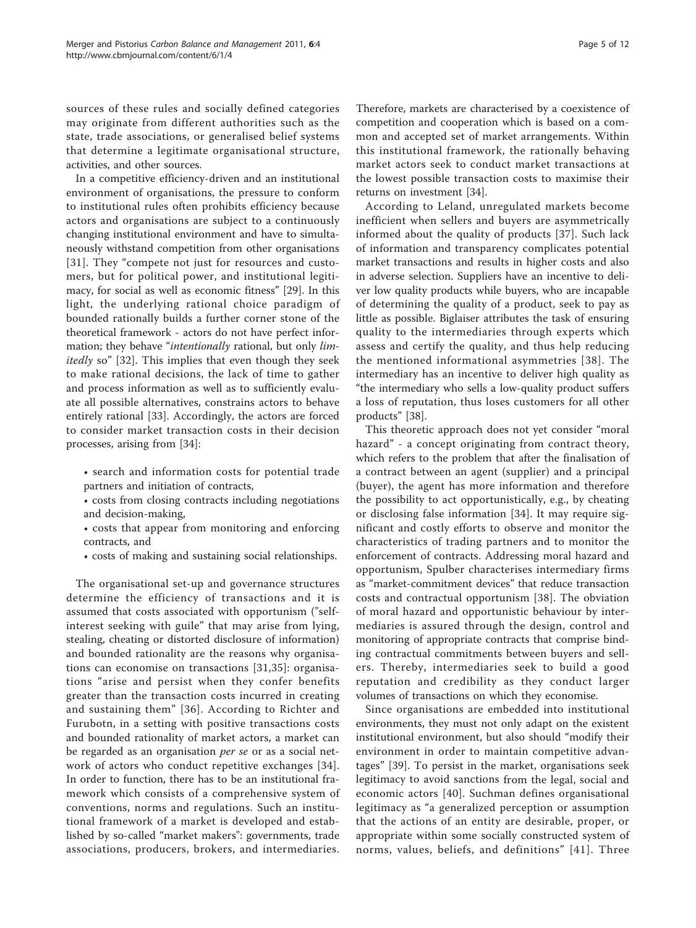sources of these rules and socially defined categories may originate from different authorities such as the state, trade associations, or generalised belief systems that determine a legitimate organisational structure, activities, and other sources.

In a competitive efficiency-driven and an institutional environment of organisations, the pressure to conform to institutional rules often prohibits efficiency because actors and organisations are subject to a continuously changing institutional environment and have to simultaneously withstand competition from other organisations [[31](#page-11-0)]. They "compete not just for resources and customers, but for political power, and institutional legitimacy, for social as well as economic fitness" [\[29](#page-11-0)]. In this light, the underlying rational choice paradigm of bounded rationally builds a further corner stone of the theoretical framework - actors do not have perfect information; they behave "intentionally rational, but only lim-itedly so" [\[32](#page-11-0)]. This implies that even though they seek to make rational decisions, the lack of time to gather and process information as well as to sufficiently evaluate all possible alternatives, constrains actors to behave entirely rational [[33](#page-11-0)]. Accordingly, the actors are forced to consider market transaction costs in their decision processes, arising from [[34\]](#page-11-0):

- search and information costs for potential trade partners and initiation of contracts,
- costs from closing contracts including negotiations and decision-making,
- costs that appear from monitoring and enforcing contracts, and
- costs of making and sustaining social relationships.

The organisational set-up and governance structures determine the efficiency of transactions and it is assumed that costs associated with opportunism ("selfinterest seeking with guile" that may arise from lying, stealing, cheating or distorted disclosure of information) and bounded rationality are the reasons why organisations can economise on transactions [[31,35](#page-11-0)]: organisations "arise and persist when they confer benefits greater than the transaction costs incurred in creating and sustaining them" [[36](#page-11-0)]. According to Richter and Furubotn, in a setting with positive transactions costs and bounded rationality of market actors, a market can be regarded as an organisation per se or as a social network of actors who conduct repetitive exchanges [[34](#page-11-0)]. In order to function, there has to be an institutional framework which consists of a comprehensive system of conventions, norms and regulations. Such an institutional framework of a market is developed and established by so-called "market makers": governments, trade associations, producers, brokers, and intermediaries.

Therefore, markets are characterised by a coexistence of competition and cooperation which is based on a common and accepted set of market arrangements. Within this institutional framework, the rationally behaving market actors seek to conduct market transactions at the lowest possible transaction costs to maximise their returns on investment [\[34\]](#page-11-0).

According to Leland, unregulated markets become inefficient when sellers and buyers are asymmetrically informed about the quality of products [[37\]](#page-11-0). Such lack of information and transparency complicates potential market transactions and results in higher costs and also in adverse selection. Suppliers have an incentive to deliver low quality products while buyers, who are incapable of determining the quality of a product, seek to pay as little as possible. Biglaiser attributes the task of ensuring quality to the intermediaries through experts which assess and certify the quality, and thus help reducing the mentioned informational asymmetries [[38\]](#page-11-0). The intermediary has an incentive to deliver high quality as "the intermediary who sells a low-quality product suffers a loss of reputation, thus loses customers for all other products" [\[38](#page-11-0)].

This theoretic approach does not yet consider "moral hazard" - a concept originating from contract theory, which refers to the problem that after the finalisation of a contract between an agent (supplier) and a principal (buyer), the agent has more information and therefore the possibility to act opportunistically, e.g., by cheating or disclosing false information [\[34](#page-11-0)]. It may require significant and costly efforts to observe and monitor the characteristics of trading partners and to monitor the enforcement of contracts. Addressing moral hazard and opportunism, Spulber characterises intermediary firms as "market-commitment devices" that reduce transaction costs and contractual opportunism [\[38](#page-11-0)]. The obviation of moral hazard and opportunistic behaviour by intermediaries is assured through the design, control and monitoring of appropriate contracts that comprise binding contractual commitments between buyers and sellers. Thereby, intermediaries seek to build a good reputation and credibility as they conduct larger volumes of transactions on which they economise.

Since organisations are embedded into institutional environments, they must not only adapt on the existent institutional environment, but also should "modify their environment in order to maintain competitive advantages" [[39\]](#page-11-0). To persist in the market, organisations seek legitimacy to avoid sanctions from the legal, social and economic actors [[40\]](#page-11-0). Suchman defines organisational legitimacy as "a generalized perception or assumption that the actions of an entity are desirable, proper, or appropriate within some socially constructed system of norms, values, beliefs, and definitions" [[41\]](#page-11-0). Three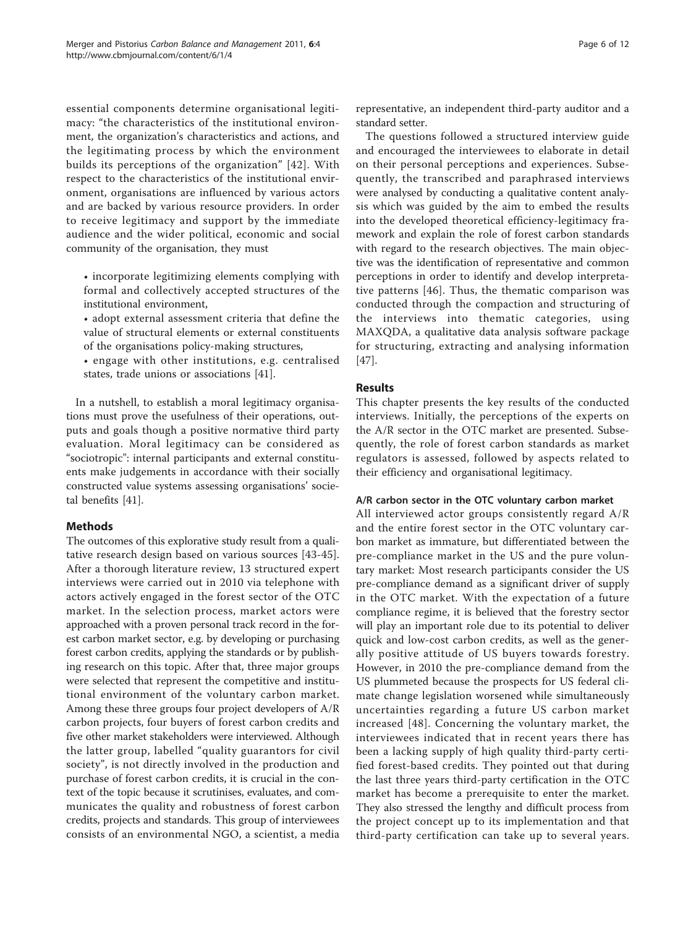essential components determine organisational legitimacy: "the characteristics of the institutional environment, the organization's characteristics and actions, and the legitimating process by which the environment builds its perceptions of the organization" [[42](#page-11-0)]. With respect to the characteristics of the institutional environment, organisations are influenced by various actors and are backed by various resource providers. In order to receive legitimacy and support by the immediate audience and the wider political, economic and social community of the organisation, they must

- incorporate legitimizing elements complying with formal and collectively accepted structures of the institutional environment,
- adopt external assessment criteria that define the value of structural elements or external constituents of the organisations policy-making structures,
- engage with other institutions, e.g. centralised states, trade unions or associations [[41\]](#page-11-0).

In a nutshell, to establish a moral legitimacy organisations must prove the usefulness of their operations, outputs and goals though a positive normative third party evaluation. Moral legitimacy can be considered as "sociotropic": internal participants and external constituents make judgements in accordance with their socially constructed value systems assessing organisations' societal benefits [[41\]](#page-11-0).

# Methods

The outcomes of this explorative study result from a qualitative research design based on various sources [\[43](#page-11-0)-[45](#page-11-0)]. After a thorough literature review, 13 structured expert interviews were carried out in 2010 via telephone with actors actively engaged in the forest sector of the OTC market. In the selection process, market actors were approached with a proven personal track record in the forest carbon market sector, e.g. by developing or purchasing forest carbon credits, applying the standards or by publishing research on this topic. After that, three major groups were selected that represent the competitive and institutional environment of the voluntary carbon market. Among these three groups four project developers of A/R carbon projects, four buyers of forest carbon credits and five other market stakeholders were interviewed. Although the latter group, labelled "quality guarantors for civil society", is not directly involved in the production and purchase of forest carbon credits, it is crucial in the context of the topic because it scrutinises, evaluates, and communicates the quality and robustness of forest carbon credits, projects and standards. This group of interviewees consists of an environmental NGO, a scientist, a media representative, an independent third-party auditor and a standard setter.

The questions followed a structured interview guide and encouraged the interviewees to elaborate in detail on their personal perceptions and experiences. Subsequently, the transcribed and paraphrased interviews were analysed by conducting a qualitative content analysis which was guided by the aim to embed the results into the developed theoretical efficiency-legitimacy framework and explain the role of forest carbon standards with regard to the research objectives. The main objective was the identification of representative and common perceptions in order to identify and develop interpretative patterns [\[46\]](#page-11-0). Thus, the thematic comparison was conducted through the compaction and structuring of the interviews into thematic categories, using MAXQDA, a qualitative data analysis software package for structuring, extracting and analysing information [[47\]](#page-11-0).

# Results

This chapter presents the key results of the conducted interviews. Initially, the perceptions of the experts on the A/R sector in the OTC market are presented. Subsequently, the role of forest carbon standards as market regulators is assessed, followed by aspects related to their efficiency and organisational legitimacy.

# A/R carbon sector in the OTC voluntary carbon market

All interviewed actor groups consistently regard A/R and the entire forest sector in the OTC voluntary carbon market as immature, but differentiated between the pre-compliance market in the US and the pure voluntary market: Most research participants consider the US pre-compliance demand as a significant driver of supply in the OTC market. With the expectation of a future compliance regime, it is believed that the forestry sector will play an important role due to its potential to deliver quick and low-cost carbon credits, as well as the generally positive attitude of US buyers towards forestry. However, in 2010 the pre-compliance demand from the US plummeted because the prospects for US federal climate change legislation worsened while simultaneously uncertainties regarding a future US carbon market increased [[48\]](#page-11-0). Concerning the voluntary market, the interviewees indicated that in recent years there has been a lacking supply of high quality third-party certified forest-based credits. They pointed out that during the last three years third-party certification in the OTC market has become a prerequisite to enter the market. They also stressed the lengthy and difficult process from the project concept up to its implementation and that third-party certification can take up to several years.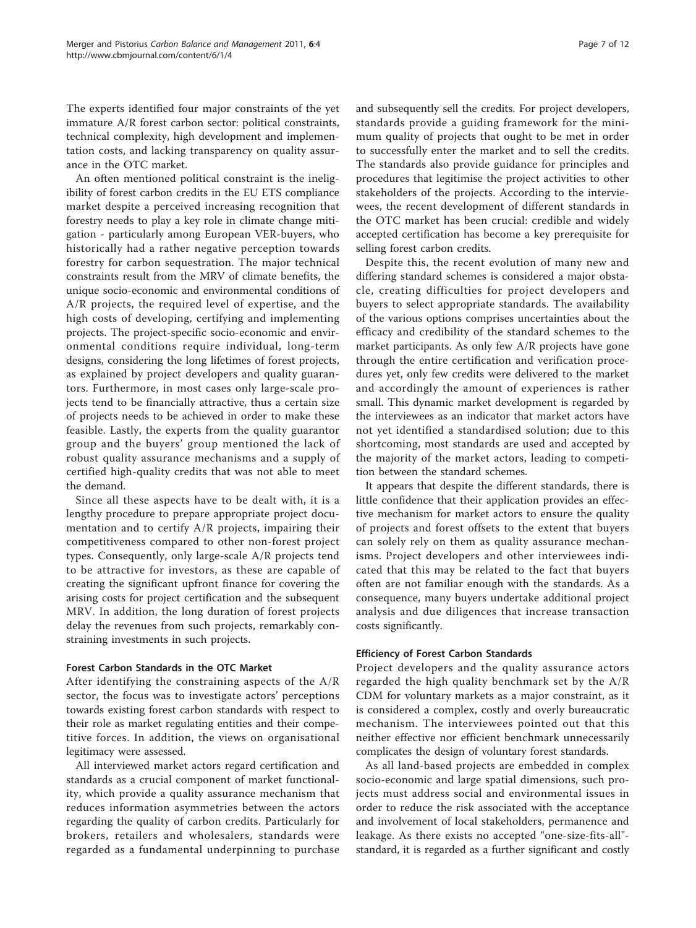The experts identified four major constraints of the yet immature A/R forest carbon sector: political constraints, technical complexity, high development and implementation costs, and lacking transparency on quality assurance in the OTC market.

An often mentioned political constraint is the ineligibility of forest carbon credits in the EU ETS compliance market despite a perceived increasing recognition that forestry needs to play a key role in climate change mitigation - particularly among European VER-buyers, who historically had a rather negative perception towards forestry for carbon sequestration. The major technical constraints result from the MRV of climate benefits, the unique socio-economic and environmental conditions of A/R projects, the required level of expertise, and the high costs of developing, certifying and implementing projects. The project-specific socio-economic and environmental conditions require individual, long-term designs, considering the long lifetimes of forest projects, as explained by project developers and quality guarantors. Furthermore, in most cases only large-scale projects tend to be financially attractive, thus a certain size of projects needs to be achieved in order to make these feasible. Lastly, the experts from the quality guarantor group and the buyers' group mentioned the lack of robust quality assurance mechanisms and a supply of certified high-quality credits that was not able to meet the demand.

Since all these aspects have to be dealt with, it is a lengthy procedure to prepare appropriate project documentation and to certify A/R projects, impairing their competitiveness compared to other non-forest project types. Consequently, only large-scale A/R projects tend to be attractive for investors, as these are capable of creating the significant upfront finance for covering the arising costs for project certification and the subsequent MRV. In addition, the long duration of forest projects delay the revenues from such projects, remarkably constraining investments in such projects.

#### Forest Carbon Standards in the OTC Market

After identifying the constraining aspects of the A/R sector, the focus was to investigate actors' perceptions towards existing forest carbon standards with respect to their role as market regulating entities and their competitive forces. In addition, the views on organisational legitimacy were assessed.

All interviewed market actors regard certification and standards as a crucial component of market functionality, which provide a quality assurance mechanism that reduces information asymmetries between the actors regarding the quality of carbon credits. Particularly for brokers, retailers and wholesalers, standards were regarded as a fundamental underpinning to purchase and subsequently sell the credits. For project developers, standards provide a guiding framework for the minimum quality of projects that ought to be met in order to successfully enter the market and to sell the credits. The standards also provide guidance for principles and procedures that legitimise the project activities to other stakeholders of the projects. According to the interviewees, the recent development of different standards in the OTC market has been crucial: credible and widely accepted certification has become a key prerequisite for selling forest carbon credits.

Despite this, the recent evolution of many new and differing standard schemes is considered a major obstacle, creating difficulties for project developers and buyers to select appropriate standards. The availability of the various options comprises uncertainties about the efficacy and credibility of the standard schemes to the market participants. As only few A/R projects have gone through the entire certification and verification procedures yet, only few credits were delivered to the market and accordingly the amount of experiences is rather small. This dynamic market development is regarded by the interviewees as an indicator that market actors have not yet identified a standardised solution; due to this shortcoming, most standards are used and accepted by the majority of the market actors, leading to competition between the standard schemes.

It appears that despite the different standards, there is little confidence that their application provides an effective mechanism for market actors to ensure the quality of projects and forest offsets to the extent that buyers can solely rely on them as quality assurance mechanisms. Project developers and other interviewees indicated that this may be related to the fact that buyers often are not familiar enough with the standards. As a consequence, many buyers undertake additional project analysis and due diligences that increase transaction costs significantly.

#### Efficiency of Forest Carbon Standards

Project developers and the quality assurance actors regarded the high quality benchmark set by the A/R CDM for voluntary markets as a major constraint, as it is considered a complex, costly and overly bureaucratic mechanism. The interviewees pointed out that this neither effective nor efficient benchmark unnecessarily complicates the design of voluntary forest standards.

As all land-based projects are embedded in complex socio-economic and large spatial dimensions, such projects must address social and environmental issues in order to reduce the risk associated with the acceptance and involvement of local stakeholders, permanence and leakage. As there exists no accepted "one-size-fits-all" standard, it is regarded as a further significant and costly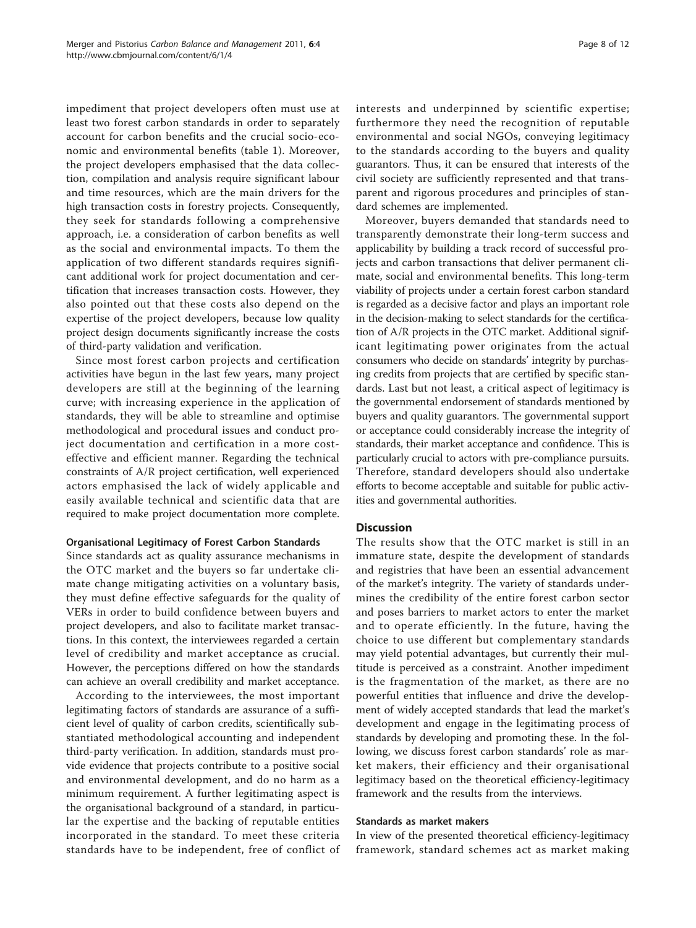impediment that project developers often must use at least two forest carbon standards in order to separately account for carbon benefits and the crucial socio-economic and environmental benefits (table [1](#page-3-0)). Moreover, the project developers emphasised that the data collection, compilation and analysis require significant labour and time resources, which are the main drivers for the high transaction costs in forestry projects. Consequently, they seek for standards following a comprehensive approach, i.e. a consideration of carbon benefits as well as the social and environmental impacts. To them the application of two different standards requires significant additional work for project documentation and certification that increases transaction costs. However, they also pointed out that these costs also depend on the expertise of the project developers, because low quality project design documents significantly increase the costs of third-party validation and verification.

Since most forest carbon projects and certification activities have begun in the last few years, many project developers are still at the beginning of the learning curve; with increasing experience in the application of standards, they will be able to streamline and optimise methodological and procedural issues and conduct project documentation and certification in a more costeffective and efficient manner. Regarding the technical constraints of A/R project certification, well experienced actors emphasised the lack of widely applicable and easily available technical and scientific data that are required to make project documentation more complete.

#### Organisational Legitimacy of Forest Carbon Standards

Since standards act as quality assurance mechanisms in the OTC market and the buyers so far undertake climate change mitigating activities on a voluntary basis, they must define effective safeguards for the quality of VERs in order to build confidence between buyers and project developers, and also to facilitate market transactions. In this context, the interviewees regarded a certain level of credibility and market acceptance as crucial. However, the perceptions differed on how the standards can achieve an overall credibility and market acceptance.

According to the interviewees, the most important legitimating factors of standards are assurance of a sufficient level of quality of carbon credits, scientifically substantiated methodological accounting and independent third-party verification. In addition, standards must provide evidence that projects contribute to a positive social and environmental development, and do no harm as a minimum requirement. A further legitimating aspect is the organisational background of a standard, in particular the expertise and the backing of reputable entities incorporated in the standard. To meet these criteria standards have to be independent, free of conflict of interests and underpinned by scientific expertise; furthermore they need the recognition of reputable environmental and social NGOs, conveying legitimacy to the standards according to the buyers and quality guarantors. Thus, it can be ensured that interests of the civil society are sufficiently represented and that transparent and rigorous procedures and principles of standard schemes are implemented.

Moreover, buyers demanded that standards need to transparently demonstrate their long-term success and applicability by building a track record of successful projects and carbon transactions that deliver permanent climate, social and environmental benefits. This long-term viability of projects under a certain forest carbon standard is regarded as a decisive factor and plays an important role in the decision-making to select standards for the certification of A/R projects in the OTC market. Additional significant legitimating power originates from the actual consumers who decide on standards' integrity by purchasing credits from projects that are certified by specific standards. Last but not least, a critical aspect of legitimacy is the governmental endorsement of standards mentioned by buyers and quality guarantors. The governmental support or acceptance could considerably increase the integrity of standards, their market acceptance and confidence. This is particularly crucial to actors with pre-compliance pursuits. Therefore, standard developers should also undertake efforts to become acceptable and suitable for public activities and governmental authorities.

#### **Discussion**

The results show that the OTC market is still in an immature state, despite the development of standards and registries that have been an essential advancement of the market's integrity. The variety of standards undermines the credibility of the entire forest carbon sector and poses barriers to market actors to enter the market and to operate efficiently. In the future, having the choice to use different but complementary standards may yield potential advantages, but currently their multitude is perceived as a constraint. Another impediment is the fragmentation of the market, as there are no powerful entities that influence and drive the development of widely accepted standards that lead the market's development and engage in the legitimating process of standards by developing and promoting these. In the following, we discuss forest carbon standards' role as market makers, their efficiency and their organisational legitimacy based on the theoretical efficiency-legitimacy framework and the results from the interviews.

#### Standards as market makers

In view of the presented theoretical efficiency-legitimacy framework, standard schemes act as market making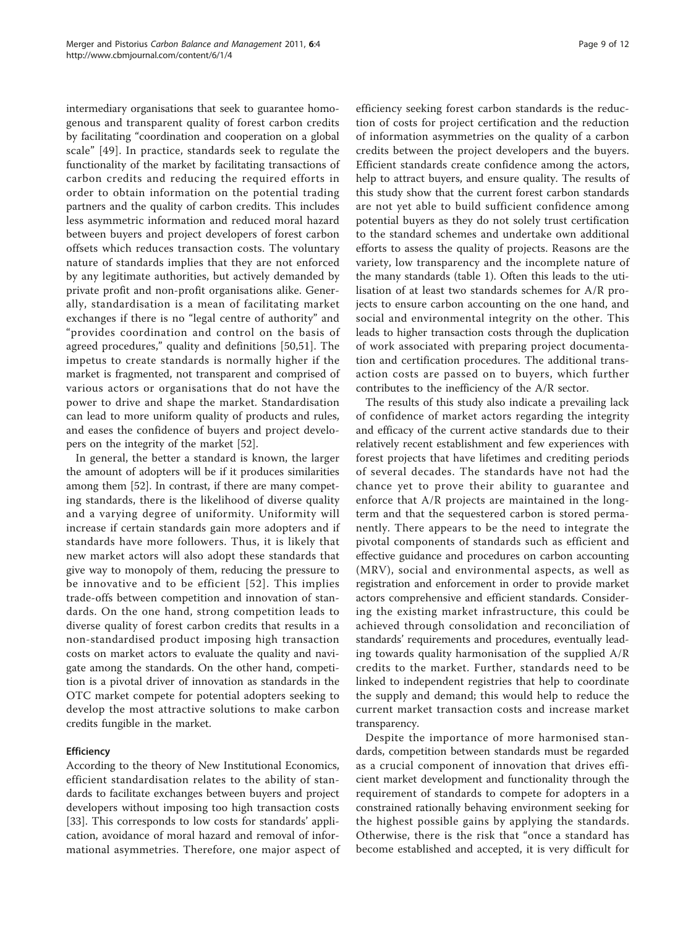intermediary organisations that seek to guarantee homogenous and transparent quality of forest carbon credits by facilitating "coordination and cooperation on a global scale" [[49](#page-11-0)]. In practice, standards seek to regulate the functionality of the market by facilitating transactions of carbon credits and reducing the required efforts in order to obtain information on the potential trading partners and the quality of carbon credits. This includes less asymmetric information and reduced moral hazard between buyers and project developers of forest carbon offsets which reduces transaction costs. The voluntary nature of standards implies that they are not enforced by any legitimate authorities, but actively demanded by private profit and non-profit organisations alike. Generally, standardisation is a mean of facilitating market exchanges if there is no "legal centre of authority" and "provides coordination and control on the basis of agreed procedures," quality and definitions [\[50,51](#page-11-0)]. The impetus to create standards is normally higher if the market is fragmented, not transparent and comprised of various actors or organisations that do not have the power to drive and shape the market. Standardisation can lead to more uniform quality of products and rules, and eases the confidence of buyers and project developers on the integrity of the market [\[52\]](#page-11-0).

In general, the better a standard is known, the larger the amount of adopters will be if it produces similarities among them [[52\]](#page-11-0). In contrast, if there are many competing standards, there is the likelihood of diverse quality and a varying degree of uniformity. Uniformity will increase if certain standards gain more adopters and if standards have more followers. Thus, it is likely that new market actors will also adopt these standards that give way to monopoly of them, reducing the pressure to be innovative and to be efficient [[52](#page-11-0)]. This implies trade-offs between competition and innovation of standards. On the one hand, strong competition leads to diverse quality of forest carbon credits that results in a non-standardised product imposing high transaction costs on market actors to evaluate the quality and navigate among the standards. On the other hand, competition is a pivotal driver of innovation as standards in the OTC market compete for potential adopters seeking to develop the most attractive solutions to make carbon credits fungible in the market.

# **Efficiency**

According to the theory of New Institutional Economics, efficient standardisation relates to the ability of standards to facilitate exchanges between buyers and project developers without imposing too high transaction costs [[33\]](#page-11-0). This corresponds to low costs for standards' application, avoidance of moral hazard and removal of informational asymmetries. Therefore, one major aspect of

efficiency seeking forest carbon standards is the reduction of costs for project certification and the reduction of information asymmetries on the quality of a carbon credits between the project developers and the buyers. Efficient standards create confidence among the actors, help to attract buyers, and ensure quality. The results of this study show that the current forest carbon standards are not yet able to build sufficient confidence among potential buyers as they do not solely trust certification to the standard schemes and undertake own additional efforts to assess the quality of projects. Reasons are the variety, low transparency and the incomplete nature of the many standards (table [1](#page-3-0)). Often this leads to the utilisation of at least two standards schemes for A/R projects to ensure carbon accounting on the one hand, and social and environmental integrity on the other. This leads to higher transaction costs through the duplication of work associated with preparing project documentation and certification procedures. The additional transaction costs are passed on to buyers, which further contributes to the inefficiency of the A/R sector.

The results of this study also indicate a prevailing lack of confidence of market actors regarding the integrity and efficacy of the current active standards due to their relatively recent establishment and few experiences with forest projects that have lifetimes and crediting periods of several decades. The standards have not had the chance yet to prove their ability to guarantee and enforce that A/R projects are maintained in the longterm and that the sequestered carbon is stored permanently. There appears to be the need to integrate the pivotal components of standards such as efficient and effective guidance and procedures on carbon accounting (MRV), social and environmental aspects, as well as registration and enforcement in order to provide market actors comprehensive and efficient standards. Considering the existing market infrastructure, this could be achieved through consolidation and reconciliation of standards' requirements and procedures, eventually leading towards quality harmonisation of the supplied A/R credits to the market. Further, standards need to be linked to independent registries that help to coordinate the supply and demand; this would help to reduce the current market transaction costs and increase market transparency.

Despite the importance of more harmonised standards, competition between standards must be regarded as a crucial component of innovation that drives efficient market development and functionality through the requirement of standards to compete for adopters in a constrained rationally behaving environment seeking for the highest possible gains by applying the standards. Otherwise, there is the risk that "once a standard has become established and accepted, it is very difficult for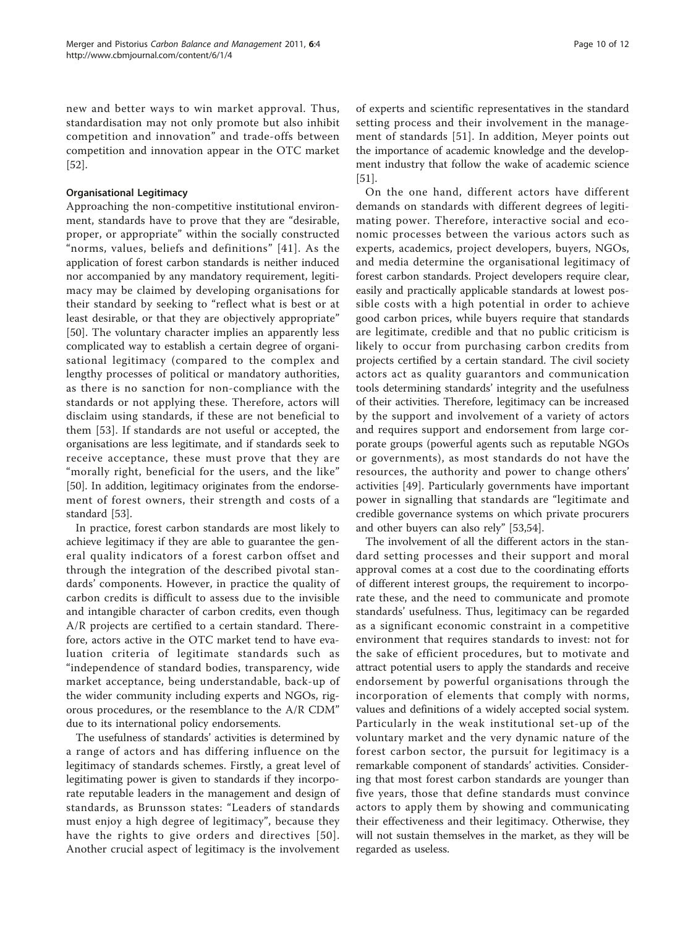new and better ways to win market approval. Thus, standardisation may not only promote but also inhibit competition and innovation" and trade-offs between competition and innovation appear in the OTC market [[52\]](#page-11-0).

#### Organisational Legitimacy

Approaching the non-competitive institutional environment, standards have to prove that they are "desirable, proper, or appropriate" within the socially constructed "norms, values, beliefs and definitions" [[41\]](#page-11-0). As the application of forest carbon standards is neither induced nor accompanied by any mandatory requirement, legitimacy may be claimed by developing organisations for their standard by seeking to "reflect what is best or at least desirable, or that they are objectively appropriate" [[50\]](#page-11-0). The voluntary character implies an apparently less complicated way to establish a certain degree of organisational legitimacy (compared to the complex and lengthy processes of political or mandatory authorities, as there is no sanction for non-compliance with the standards or not applying these. Therefore, actors will disclaim using standards, if these are not beneficial to them [\[53](#page-11-0)]. If standards are not useful or accepted, the organisations are less legitimate, and if standards seek to receive acceptance, these must prove that they are "morally right, beneficial for the users, and the like" [[50\]](#page-11-0). In addition, legitimacy originates from the endorsement of forest owners, their strength and costs of a standard [\[53\]](#page-11-0).

In practice, forest carbon standards are most likely to achieve legitimacy if they are able to guarantee the general quality indicators of a forest carbon offset and through the integration of the described pivotal standards' components. However, in practice the quality of carbon credits is difficult to assess due to the invisible and intangible character of carbon credits, even though A/R projects are certified to a certain standard. Therefore, actors active in the OTC market tend to have evaluation criteria of legitimate standards such as "independence of standard bodies, transparency, wide market acceptance, being understandable, back-up of the wider community including experts and NGOs, rigorous procedures, or the resemblance to the A/R CDM" due to its international policy endorsements.

The usefulness of standards' activities is determined by a range of actors and has differing influence on the legitimacy of standards schemes. Firstly, a great level of legitimating power is given to standards if they incorporate reputable leaders in the management and design of standards, as Brunsson states: "Leaders of standards must enjoy a high degree of legitimacy", because they have the rights to give orders and directives [[50\]](#page-11-0). Another crucial aspect of legitimacy is the involvement of experts and scientific representatives in the standard setting process and their involvement in the management of standards [\[51](#page-11-0)]. In addition, Meyer points out the importance of academic knowledge and the development industry that follow the wake of academic science [[51\]](#page-11-0).

On the one hand, different actors have different demands on standards with different degrees of legitimating power. Therefore, interactive social and economic processes between the various actors such as experts, academics, project developers, buyers, NGOs, and media determine the organisational legitimacy of forest carbon standards. Project developers require clear, easily and practically applicable standards at lowest possible costs with a high potential in order to achieve good carbon prices, while buyers require that standards are legitimate, credible and that no public criticism is likely to occur from purchasing carbon credits from projects certified by a certain standard. The civil society actors act as quality guarantors and communication tools determining standards' integrity and the usefulness of their activities. Therefore, legitimacy can be increased by the support and involvement of a variety of actors and requires support and endorsement from large corporate groups (powerful agents such as reputable NGOs or governments), as most standards do not have the resources, the authority and power to change others' activities [[49\]](#page-11-0). Particularly governments have important power in signalling that standards are "legitimate and credible governance systems on which private procurers and other buyers can also rely" [[53,54\]](#page-11-0).

The involvement of all the different actors in the standard setting processes and their support and moral approval comes at a cost due to the coordinating efforts of different interest groups, the requirement to incorporate these, and the need to communicate and promote standards' usefulness. Thus, legitimacy can be regarded as a significant economic constraint in a competitive environment that requires standards to invest: not for the sake of efficient procedures, but to motivate and attract potential users to apply the standards and receive endorsement by powerful organisations through the incorporation of elements that comply with norms, values and definitions of a widely accepted social system. Particularly in the weak institutional set-up of the voluntary market and the very dynamic nature of the forest carbon sector, the pursuit for legitimacy is a remarkable component of standards' activities. Considering that most forest carbon standards are younger than five years, those that define standards must convince actors to apply them by showing and communicating their effectiveness and their legitimacy. Otherwise, they will not sustain themselves in the market, as they will be regarded as useless.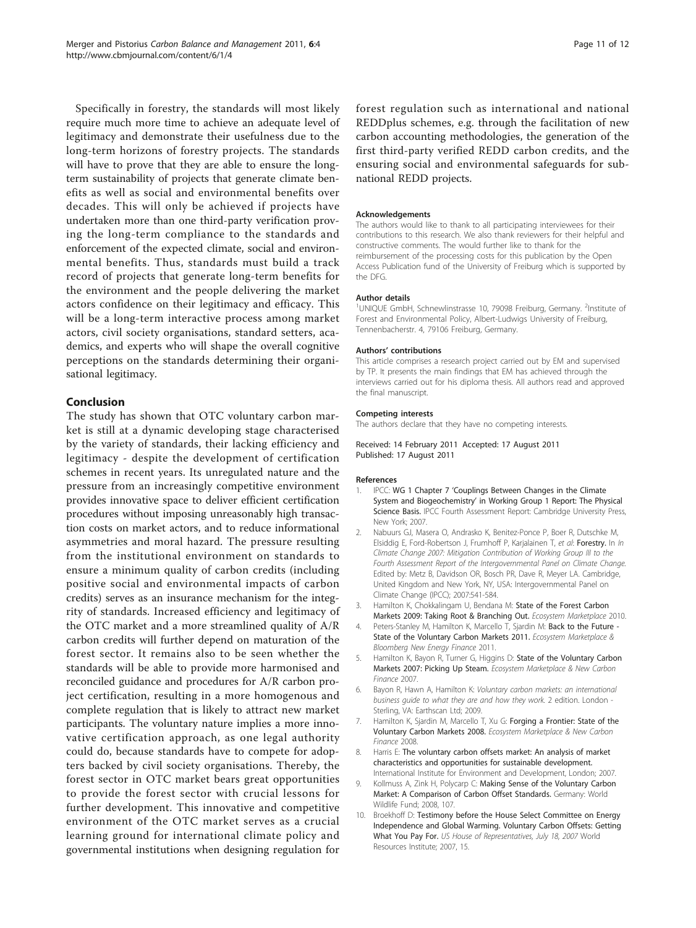<span id="page-10-0"></span>Specifically in forestry, the standards will most likely require much more time to achieve an adequate level of legitimacy and demonstrate their usefulness due to the long-term horizons of forestry projects. The standards will have to prove that they are able to ensure the longterm sustainability of projects that generate climate benefits as well as social and environmental benefits over decades. This will only be achieved if projects have undertaken more than one third-party verification proving the long-term compliance to the standards and enforcement of the expected climate, social and environmental benefits. Thus, standards must build a track record of projects that generate long-term benefits for the environment and the people delivering the market actors confidence on their legitimacy and efficacy. This will be a long-term interactive process among market actors, civil society organisations, standard setters, academics, and experts who will shape the overall cognitive perceptions on the standards determining their organisational legitimacy.

#### Conclusion

The study has shown that OTC voluntary carbon market is still at a dynamic developing stage characterised by the variety of standards, their lacking efficiency and legitimacy - despite the development of certification schemes in recent years. Its unregulated nature and the pressure from an increasingly competitive environment provides innovative space to deliver efficient certification procedures without imposing unreasonably high transaction costs on market actors, and to reduce informational asymmetries and moral hazard. The pressure resulting from the institutional environment on standards to ensure a minimum quality of carbon credits (including positive social and environmental impacts of carbon credits) serves as an insurance mechanism for the integrity of standards. Increased efficiency and legitimacy of the OTC market and a more streamlined quality of A/R carbon credits will further depend on maturation of the forest sector. It remains also to be seen whether the standards will be able to provide more harmonised and reconciled guidance and procedures for A/R carbon project certification, resulting in a more homogenous and complete regulation that is likely to attract new market participants. The voluntary nature implies a more innovative certification approach, as one legal authority could do, because standards have to compete for adopters backed by civil society organisations. Thereby, the forest sector in OTC market bears great opportunities to provide the forest sector with crucial lessons for further development. This innovative and competitive environment of the OTC market serves as a crucial learning ground for international climate policy and governmental institutions when designing regulation for

forest regulation such as international and national REDDplus schemes, e.g. through the facilitation of new carbon accounting methodologies, the generation of the first third-party verified REDD carbon credits, and the ensuring social and environmental safeguards for subnational REDD projects.

#### Acknowledgements

The authors would like to thank to all participating interviewees for their contributions to this research. We also thank reviewers for their helpful and constructive comments. The would further like to thank for the reimbursement of the processing costs for this publication by the Open Access Publication fund of the University of Freiburg which is supported by the DFG.

#### Author details

<sup>1</sup>UNIQUE GmbH, Schnewlinstrasse 10, 79098 Freiburg, Germany. <sup>2</sup>Institute of Forest and Environmental Policy, Albert-Ludwigs University of Freiburg, Tennenbacherstr. 4, 79106 Freiburg, Germany.

#### Authors' contributions

This article comprises a research project carried out by EM and supervised by TP. It presents the main findings that EM has achieved through the interviews carried out for his diploma thesis. All authors read and approved the final manuscript.

#### Competing interests

The authors declare that they have no competing interests.

Received: 14 February 2011 Accepted: 17 August 2011 Published: 17 August 2011

#### References

- 1. IPCC: WG 1 Chapter 7 'Couplings Between Changes in the Climate System and Biogeochemistry' in Working Group 1 Report: The Physical Science Basis. IPCC Fourth Assessment Report: Cambridge University Press, New York; 2007.
- 2. Nabuurs GJ, Masera O, Andrasko K, Benitez-Ponce P, Boer R, Dutschke M, Elsiddig E, Ford-Robertson J, Frumhoff P, Karjalainen T, et al: Forestry. In In Climate Change 2007: Mitigation Contribution of Working Group III to the Fourth Assessment Report of the Intergovernmental Panel on Climate Change. Edited by: Metz B, Davidson OR, Bosch PR, Dave R, Meyer LA. Cambridge, United Kingdom and New York, NY, USA: Intergovernmental Panel on Climate Change (IPCC); 2007:541-584.
- 3. Hamilton K, Chokkalingam U, Bendana M: State of the Forest Carbon Markets 2009: Taking Root & Branching Out. Ecosystem Marketplace 2010.
- 4. Peters-Stanley M, Hamilton K, Marcello T, Sjardin M: [Back to the Future -](http://www.ncbi.nlm.nih.gov/pubmed/21535785?dopt=Abstract) [State of the Voluntary Carbon Markets 2011.](http://www.ncbi.nlm.nih.gov/pubmed/21535785?dopt=Abstract) Ecosystem Marketplace & Bloomberg New Energy Finance 2011.
- 5. Hamilton K, Bayon R, Turner G, Higgins D: [State of the Voluntary Carbon](http://www.ncbi.nlm.nih.gov/pubmed/21535785?dopt=Abstract) [Markets 2007: Picking Up Steam.](http://www.ncbi.nlm.nih.gov/pubmed/21535785?dopt=Abstract) Ecosystem Marketplace & New Carbon Finance 2007.
- Bayon R, Hawn A, Hamilton K: Voluntary carbon markets: an international business guide to what they are and how they work. 2 edition. London - Sterling, VA: Earthscan Ltd; 2009.
- 7. Hamilton K, Sjardin M, Marcello T, Xu G: [Forging a Frontier: State of the](http://www.ncbi.nlm.nih.gov/pubmed/21535785?dopt=Abstract) [Voluntary Carbon Markets 2008.](http://www.ncbi.nlm.nih.gov/pubmed/21535785?dopt=Abstract) Ecosystem Marketplace & New Carbon Finance 2008.
- 8. Harris E: The voluntary carbon offsets market: An analysis of market characteristics and opportunities for sustainable development. International Institute for Environment and Development, London; 2007.
- 9. Kollmuss A, Zink H, Polycarp C: Making Sense of the Voluntary Carbon Market: A Comparison of Carbon Offset Standards. Germany: World Wildlife Fund; 2008, 107.
- 10. Broekhoff D: Testimony before the House Select Committee on Energy Independence and Global Warming. Voluntary Carbon Offsets: Getting What You Pay For. US House of Representatives, July 18, 2007 World Resources Institute; 2007, 15.